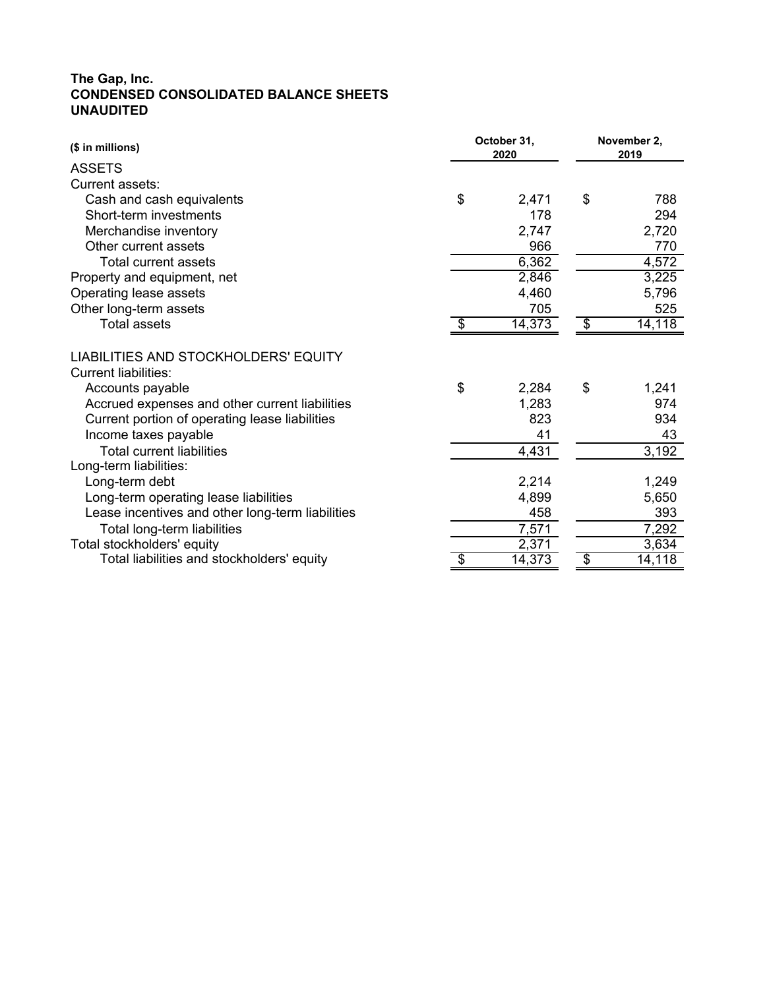# **The Gap, Inc. CONDENSED CONSOLIDATED BALANCE SHEETS UNAUDITED**

| (\$ in millions)                                                    | October 31, |        | November 2. |        |  |
|---------------------------------------------------------------------|-------------|--------|-------------|--------|--|
| <b>ASSETS</b>                                                       |             | 2020   |             | 2019   |  |
| Current assets:                                                     |             |        |             |        |  |
| Cash and cash equivalents                                           | \$          | 2,471  | \$          | 788    |  |
| Short-term investments                                              |             | 178    |             | 294    |  |
| Merchandise inventory                                               |             | 2,747  |             | 2,720  |  |
| Other current assets                                                |             | 966    |             | 770    |  |
| <b>Total current assets</b>                                         |             | 6,362  |             | 4,572  |  |
| Property and equipment, net                                         |             | 2,846  |             | 3,225  |  |
| Operating lease assets                                              |             | 4,460  |             | 5,796  |  |
| Other long-term assets                                              |             | 705    |             | 525    |  |
| <b>Total assets</b>                                                 | \$          | 14,373 | \$          | 14,118 |  |
| LIABILITIES AND STOCKHOLDERS' EQUITY<br><b>Current liabilities:</b> |             |        |             |        |  |
| Accounts payable                                                    | \$          | 2,284  | \$          | 1,241  |  |
| Accrued expenses and other current liabilities                      |             | 1,283  |             | 974    |  |
| Current portion of operating lease liabilities                      |             | 823    |             | 934    |  |
| Income taxes payable                                                |             | 41     |             | 43     |  |
| <b>Total current liabilities</b>                                    |             | 4,431  |             | 3,192  |  |
| Long-term liabilities:                                              |             |        |             |        |  |
| Long-term debt                                                      |             | 2,214  |             | 1,249  |  |
| Long-term operating lease liabilities                               |             | 4,899  |             | 5,650  |  |
| Lease incentives and other long-term liabilities                    |             | 458    |             | 393    |  |
| Total long-term liabilities                                         |             | 7,571  |             | 7,292  |  |
| Total stockholders' equity                                          |             | 2,371  |             | 3,634  |  |
| Total liabilities and stockholders' equity                          |             | 14,373 | S           | 14,118 |  |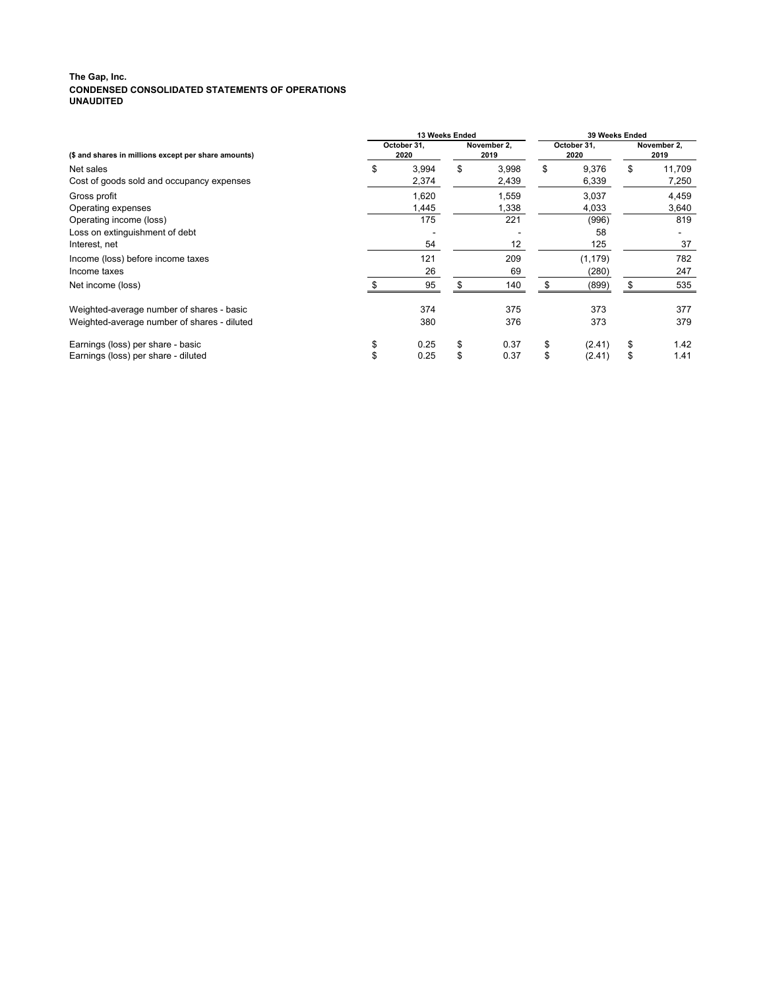#### **The Gap, Inc. CONDENSED CONSOLIDATED STATEMENTS OF OPERATIONS UNAUDITED**

|                                                      | 13 Weeks Ended      |       |                     |       | 39 Weeks Ended      |          |                     |        |
|------------------------------------------------------|---------------------|-------|---------------------|-------|---------------------|----------|---------------------|--------|
| (\$ and shares in millions except per share amounts) | October 31,<br>2020 |       | November 2,<br>2019 |       | October 31,<br>2020 |          | November 2,<br>2019 |        |
| Net sales                                            | \$                  | 3,994 | \$                  | 3,998 | \$                  | 9,376    | \$                  | 11,709 |
| Cost of goods sold and occupancy expenses            |                     | 2,374 |                     | 2,439 |                     | 6,339    |                     | 7,250  |
| Gross profit                                         |                     | 1,620 |                     | 1,559 |                     | 3,037    |                     | 4,459  |
| Operating expenses                                   |                     | 1,445 |                     | 1,338 |                     | 4,033    |                     | 3,640  |
| Operating income (loss)                              |                     | 175   |                     | 221   |                     | (996)    |                     | 819    |
| Loss on extinguishment of debt                       |                     |       |                     |       |                     | 58       |                     |        |
| Interest, net                                        |                     | 54    |                     | 12    |                     | 125      |                     | 37     |
| Income (loss) before income taxes                    |                     | 121   |                     | 209   |                     | (1, 179) |                     | 782    |
| Income taxes                                         |                     | 26    |                     | 69    |                     | (280)    |                     | 247    |
| Net income (loss)                                    |                     | 95    |                     | 140   |                     | (899)    |                     | 535    |
| Weighted-average number of shares - basic            |                     | 374   |                     | 375   |                     | 373      |                     | 377    |
| Weighted-average number of shares - diluted          |                     | 380   |                     | 376   |                     | 373      |                     | 379    |
| Earnings (loss) per share - basic                    | \$                  | 0.25  | \$                  | 0.37  | \$                  | (2.41)   | S                   | 1.42   |
| Earnings (loss) per share - diluted                  | \$                  | 0.25  | \$                  | 0.37  | \$                  | (2.41)   |                     | 1.41   |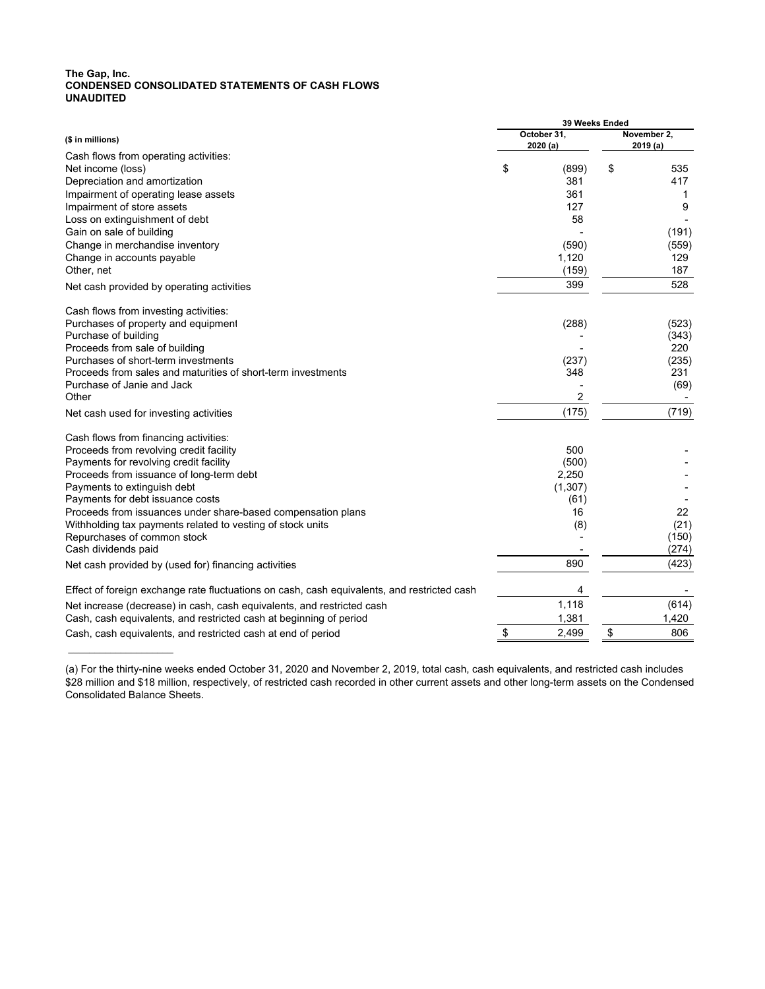#### **The Gap, Inc. CONDENSED CONSOLIDATED STATEMENTS OF CASH FLOWS UNAUDITED**

 $\mathcal{L}$  , we have the set of the set of the set of the set of the set of the set of the set of the set of the set of the set of the set of the set of the set of the set of the set of the set of the set of the set of the

|                                                                                             | 39 Weeks Ended |                |             |              |  |  |
|---------------------------------------------------------------------------------------------|----------------|----------------|-------------|--------------|--|--|
| (\$ in millions)                                                                            |                | October 31,    | November 2, |              |  |  |
|                                                                                             |                | 2020 (a)       | 2019 (a)    |              |  |  |
| Cash flows from operating activities:<br>Net income (loss)                                  | \$             | (899)          | \$          | 535          |  |  |
| Depreciation and amortization                                                               |                | 381            |             | 417          |  |  |
|                                                                                             |                | 361            |             | $\mathbf{1}$ |  |  |
| Impairment of operating lease assets<br>Impairment of store assets                          |                | 127            |             | 9            |  |  |
|                                                                                             |                | 58             |             |              |  |  |
| Loss on extinguishment of debt                                                              |                |                |             |              |  |  |
| Gain on sale of building                                                                    |                | (590)          |             | (191)        |  |  |
| Change in merchandise inventory<br>Change in accounts payable                               |                | 1,120          |             | (559)<br>129 |  |  |
|                                                                                             |                |                |             |              |  |  |
| Other, net                                                                                  |                | (159)          |             | 187          |  |  |
| Net cash provided by operating activities                                                   |                | 399            |             | 528          |  |  |
| Cash flows from investing activities:                                                       |                |                |             |              |  |  |
| Purchases of property and equipment                                                         |                | (288)          |             | (523)        |  |  |
| Purchase of building                                                                        |                |                |             | (343)        |  |  |
| Proceeds from sale of building                                                              |                |                |             | 220          |  |  |
| Purchases of short-term investments                                                         |                | (237)          |             | (235)        |  |  |
| Proceeds from sales and maturities of short-term investments                                |                | 348            |             | 231          |  |  |
| Purchase of Janie and Jack                                                                  |                |                |             | (69)         |  |  |
| Other                                                                                       |                | $\overline{2}$ |             |              |  |  |
| Net cash used for investing activities                                                      |                | (175)          |             | (719)        |  |  |
| Cash flows from financing activities:                                                       |                |                |             |              |  |  |
| Proceeds from revolving credit facility                                                     |                | 500            |             |              |  |  |
| Payments for revolving credit facility                                                      |                | (500)          |             |              |  |  |
| Proceeds from issuance of long-term debt                                                    |                | 2,250          |             |              |  |  |
| Payments to extinguish debt                                                                 |                | (1, 307)       |             |              |  |  |
| Payments for debt issuance costs                                                            |                | (61)           |             |              |  |  |
| Proceeds from issuances under share-based compensation plans                                |                | 16             |             | 22           |  |  |
| Withholding tax payments related to vesting of stock units                                  |                | (8)            |             | (21)         |  |  |
| Repurchases of common stock                                                                 |                |                |             | (150)        |  |  |
| Cash dividends paid                                                                         |                |                |             | (274)        |  |  |
| Net cash provided by (used for) financing activities                                        |                | 890            |             | (423)        |  |  |
| Effect of foreign exchange rate fluctuations on cash, cash equivalents, and restricted cash |                | 4              |             |              |  |  |
| Net increase (decrease) in cash, cash equivalents, and restricted cash                      |                | 1,118          |             | (614)        |  |  |
| Cash, cash equivalents, and restricted cash at beginning of period                          |                | 1,381          |             | 1,420        |  |  |
| Cash, cash equivalents, and restricted cash at end of period                                | \$             | 2,499          | \$          | 806          |  |  |
|                                                                                             |                |                |             |              |  |  |

<sup>(</sup>a) For the thirty-nine weeks ended October 31, 2020 and November 2, 2019, total cash, cash equivalents, and restricted cash includes \$28 million and \$18 million, respectively, of restricted cash recorded in other current assets and other long-term assets on the Condensed Consolidated Balance Sheets.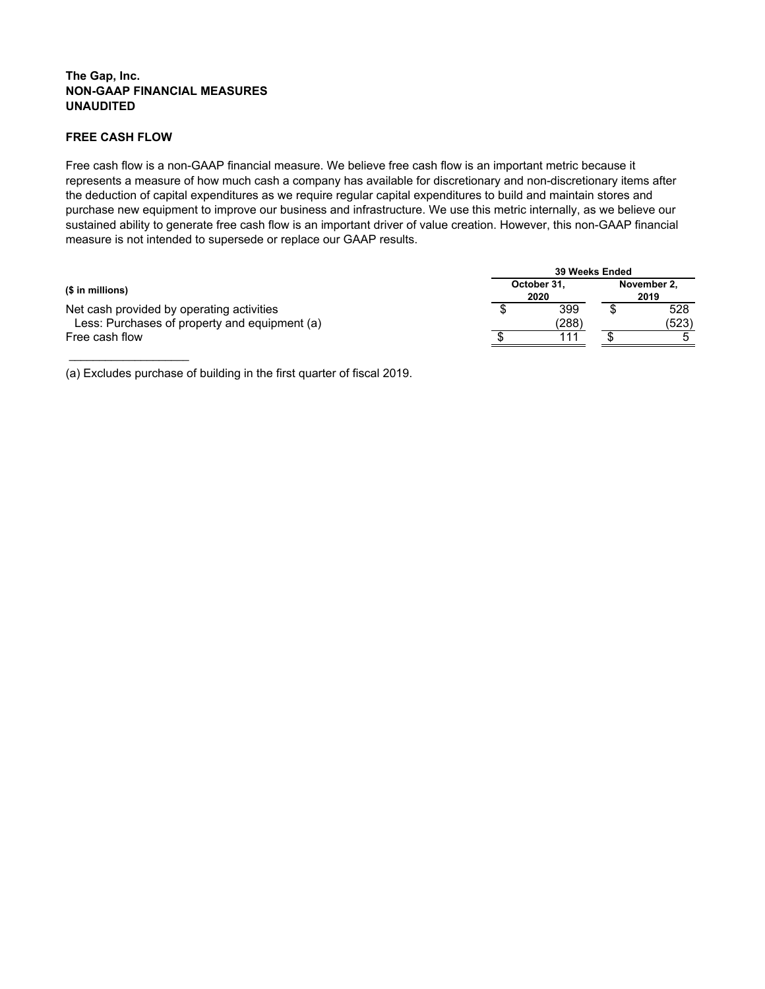### **The Gap, Inc. NON-GAAP FINANCIAL MEASURES UNAUDITED**

## **FREE CASH FLOW**

 $\_$ 

Free cash flow is a non-GAAP financial measure. We believe free cash flow is an important metric because it represents a measure of how much cash a company has available for discretionary and non-discretionary items after the deduction of capital expenditures as we require regular capital expenditures to build and maintain stores and purchase new equipment to improve our business and infrastructure. We use this metric internally, as we believe our sustained ability to generate free cash flow is an important driver of value creation. However, this non-GAAP financial measure is not intended to supersede or replace our GAAP results.

|                                               | 39 Weeks Ended      |       |                     |       |  |  |
|-----------------------------------------------|---------------------|-------|---------------------|-------|--|--|
| (\$ in millions)                              | October 31,<br>2020 |       | November 2,<br>2019 |       |  |  |
| Net cash provided by operating activities     |                     | 399   |                     | 528   |  |  |
| Less: Purchases of property and equipment (a) |                     | (288) |                     | (523) |  |  |
| Free cash flow                                |                     | 111   |                     |       |  |  |

(a) Excludes purchase of building in the first quarter of fiscal 2019.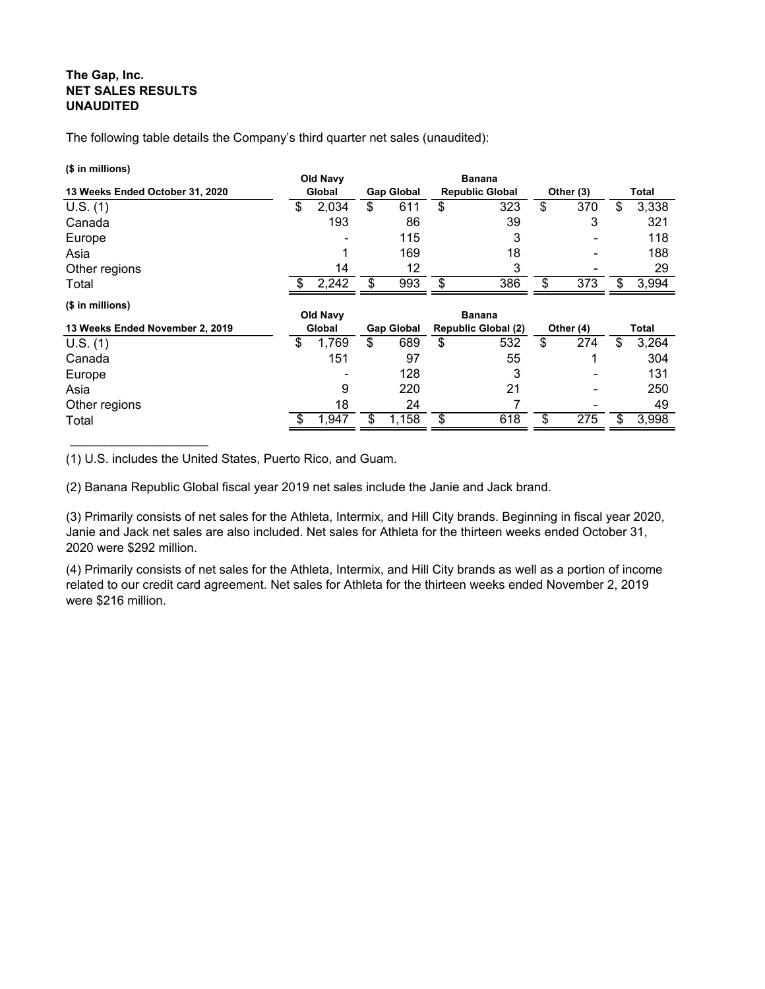# **The Gap, Inc. NET SALES RESULTS UNAUDITED**

The following table details the Company's third quarter net sales (unaudited):

#### **(\$ in millions)**

| $\phi$ in minions)              | Old Navy        |                   | <b>Banana</b>              |           |             |
|---------------------------------|-----------------|-------------------|----------------------------|-----------|-------------|
| 13 Weeks Ended October 31, 2020 | Global          | <b>Gap Global</b> | <b>Republic Global</b>     | Other (3) | Total       |
| U.S. (1)                        | \$<br>2,034     | \$<br>611         | \$<br>323                  | \$<br>370 | \$<br>3,338 |
| Canada                          | 193             | 86                | 39                         | 3         | 321         |
| Europe                          |                 | 115               | 3                          |           | 118         |
| Asia                            |                 | 169               | 18                         |           | 188         |
| Other regions                   | 14              | 12                | 3                          |           | 29          |
| Total                           | 2,242           | \$<br>993         | \$<br>386                  | \$<br>373 | \$<br>3,994 |
| (\$ in millions)                | <b>Old Navy</b> |                   | <b>Banana</b>              |           |             |
| 13 Weeks Ended November 2, 2019 | Global          | <b>Gap Global</b> | <b>Republic Global (2)</b> | Other (4) | Total       |
| U.S. (1)                        | \$<br>1,769     | \$<br>689         | \$<br>532                  | \$<br>274 | \$<br>3,264 |
| Canada                          | 151             | 97                | 55                         |           | 304         |
| Europe                          |                 | 128               | 3                          |           | 131         |
| Asia                            | 9               | 220               | 21                         |           | 250         |
| Other regions                   | 18              | 24                |                            |           | 49          |
| Total                           | 1,947           | \$<br>1,158       | \$<br>618                  | \$<br>275 | \$<br>3,998 |

(1) U.S. includes the United States, Puerto Rico, and Guam.

(2) Banana Republic Global fiscal year 2019 net sales include the Janie and Jack brand.

(3) Primarily consists of net sales for the Athleta, Intermix, and Hill City brands. Beginning in fiscal year 2020, Janie and Jack net sales are also included. Net sales for Athleta for the thirteen weeks ended October 31, 2020 were \$292 million.

(4) Primarily consists of net sales for the Athleta, Intermix, and Hill City brands as well as a portion of income related to our credit card agreement. Net sales for Athleta for the thirteen weeks ended November 2, 2019 were \$216 million.